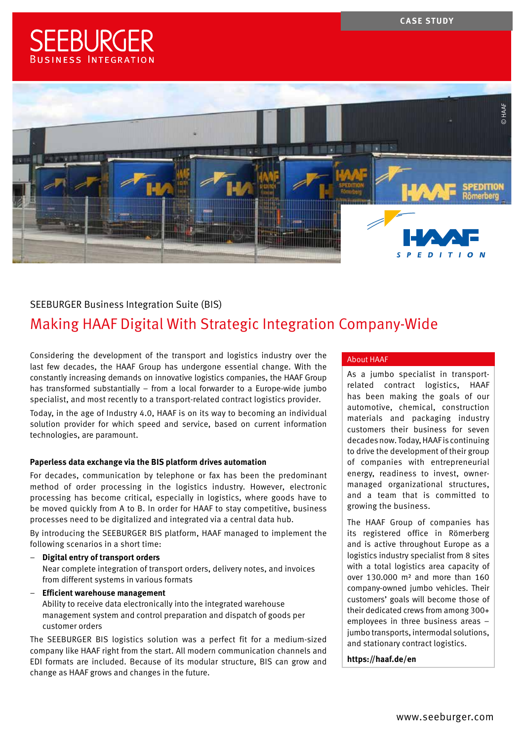## **SFFBURGFR BUSINESS INTEGRATION**



### SEEBURGER Business Integration Suite (BIS)

### Making HAAF Digital With Strategic Integration Company-Wide

Considering the development of the transport and logistics industry over the last few decades, the HAAF Group has undergone essential change. With the constantly increasing demands on innovative logistics companies, the HAAF Group has transformed substantially – from a local forwarder to a Europe-wide jumbo specialist, and most recently to a transport-related contract logistics provider.

Today, in the age of Industry 4.0, HAAF is on its way to becoming an individual solution provider for which speed and service, based on current information technologies, are paramount.

#### **Paperless data exchange via the BIS platform drives automation**

For decades, communication by telephone or fax has been the predominant method of order processing in the logistics industry. However, electronic processing has become critical, especially in logistics, where goods have to be moved quickly from A to B. In order for HAAF to stay competitive, business processes need to be digitalized and integrated via a central data hub.

By introducing the SEEBURGER BIS platform, HAAF managed to implement the following scenarios in a short time:

- **Digital entry of transport orders** Near complete integration of transport orders, delivery notes, and invoices from different systems in various formats
- **Efficient warehouse management** Ability to receive data electronically into the integrated warehouse management system and control preparation and dispatch of goods per customer orders

The SEEBURGER BIS logistics solution was a perfect fit for a medium-sized company like HAAF right from the start. All modern communication channels and EDI formats are included. Because of its modular structure, BIS can grow and change as HAAF grows and changes in the future.

#### About HAAF

As a jumbo specialist in transportrelated contract logistics, HAAF has been making the goals of our automotive, chemical, construction materials and packaging industry customers their business for seven decades now. Today, HAAF is continuing to drive the development of their group of companies with entrepreneurial energy, readiness to invest, ownermanaged organizational structures, and a team that is committed to growing the business.

The HAAF Group of companies has its registered office in Römerberg and is active throughout Europe as a logistics industry specialist from 8 sites with a total logistics area capacity of over 130.000 m² and more than 160 company-owned jumbo vehicles. Their customers' goals will become those of their dedicated crews from among 300+ employees in three business areas – jumbo transports, intermodal solutions, and stationary contract logistics.

**<https://haaf.de/en>**